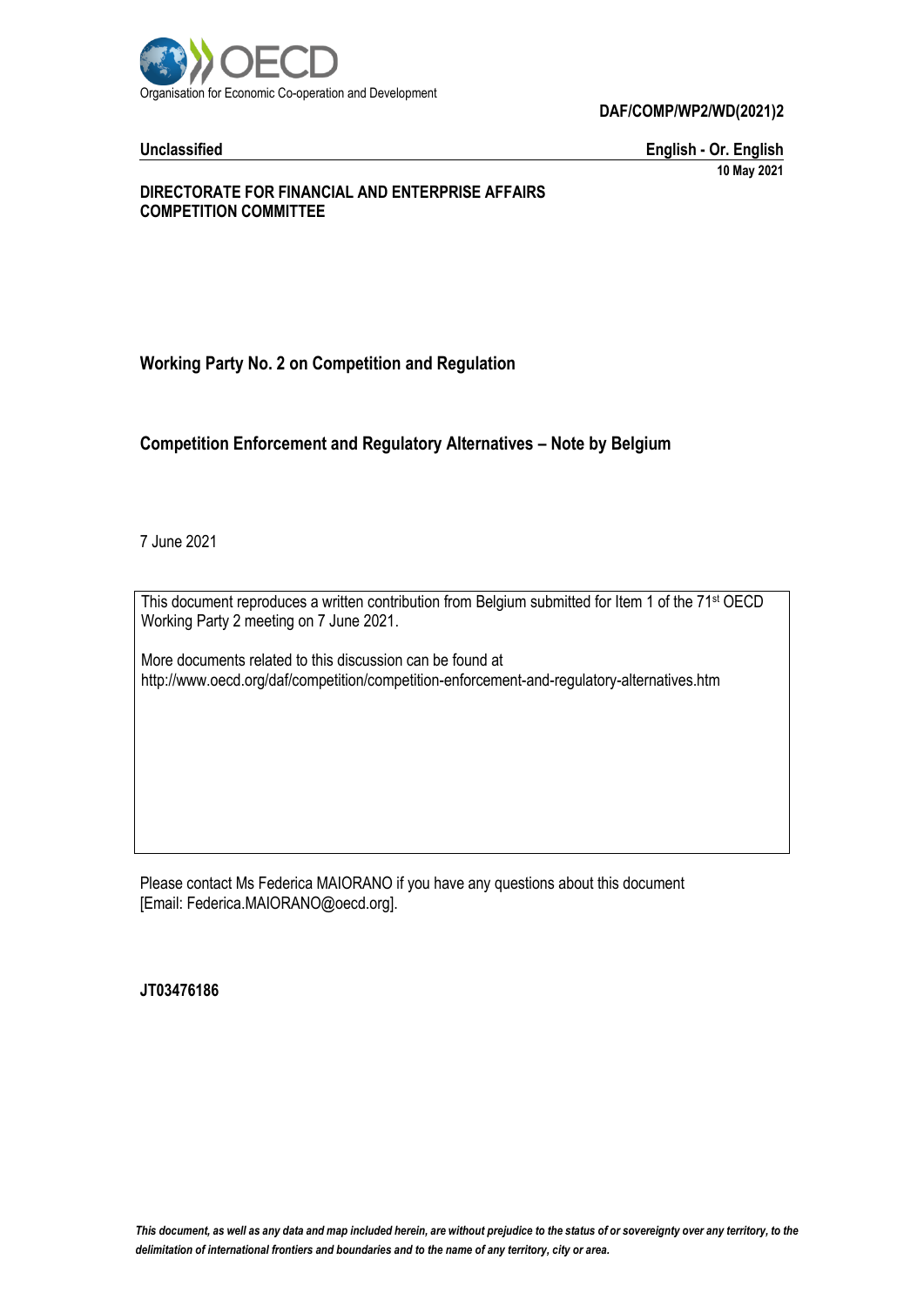

**DAF/COMP/WP2/WD(2021)2**

**Unclassified English - Or. English 10 May 2021**

#### **DIRECTORATE FOR FINANCIAL AND ENTERPRISE AFFAIRS COMPETITION COMMITTEE**

# **Working Party No. 2 on Competition and Regulation**

#### **Competition Enforcement and Regulatory Alternatives – Note by Belgium**

7 June 2021

This document reproduces a written contribution from Belgium submitted for Item 1 of the 71<sup>st</sup> OECD Working Party 2 meeting on 7 June 2021.

More documents related to this discussion can be found at http://www.oecd.org/daf/competition/competition-enforcement-and-regulatory-alternatives.htm

Please contact Ms Federica MAIORANO if you have any questions about this document [Email: Federica.MAIORANO@oecd.org].

**JT03476186**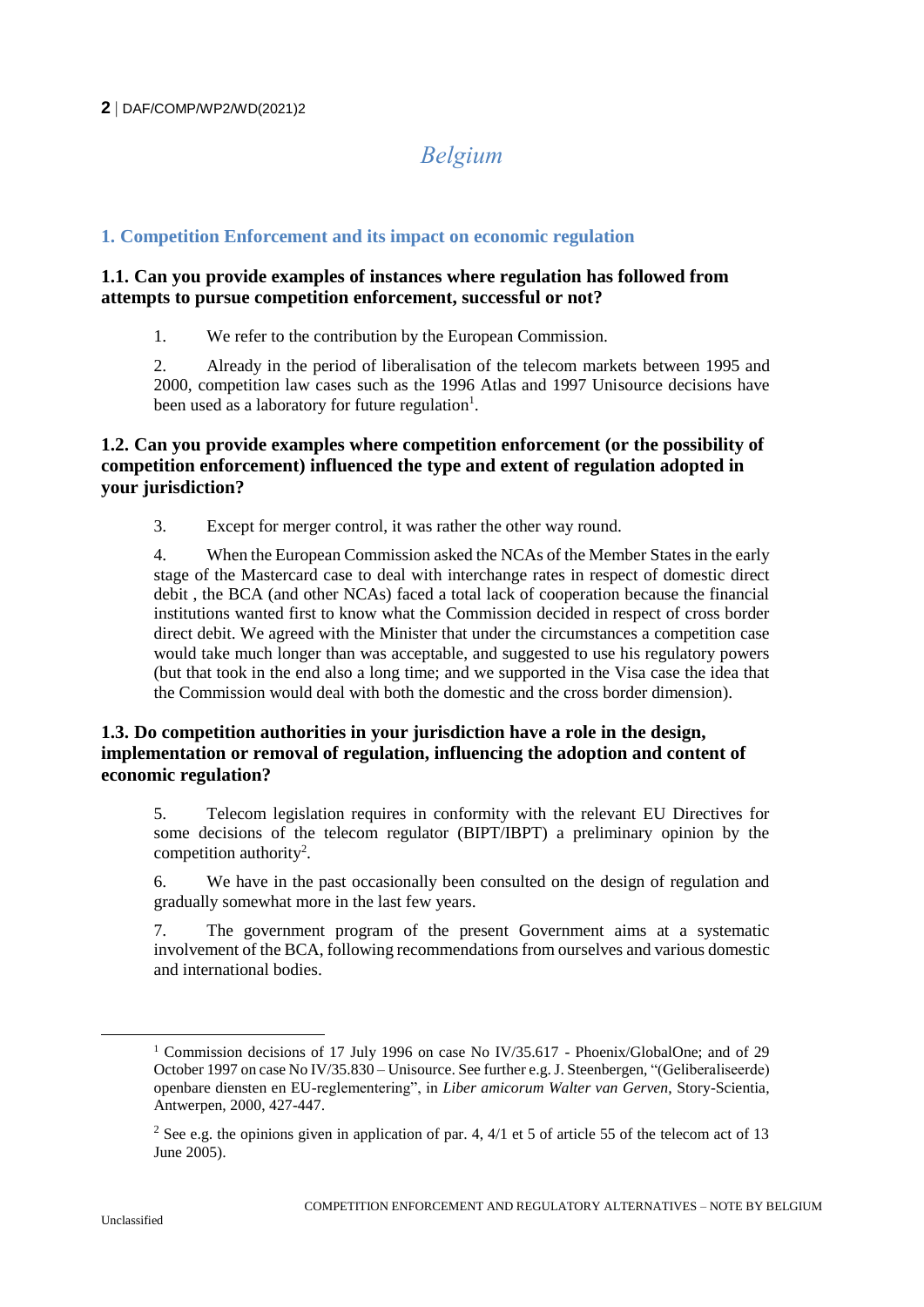# *Belgium*

## **1. Competition Enforcement and its impact on economic regulation**

#### **1.1. Can you provide examples of instances where regulation has followed from attempts to pursue competition enforcement, successful or not?**

1. We refer to the contribution by the European Commission.

2. Already in the period of liberalisation of the telecom markets between 1995 and 2000, competition law cases such as the 1996 Atlas and 1997 Unisource decisions have been used as a laboratory for future regulation<sup>1</sup>.

## **1.2. Can you provide examples where competition enforcement (or the possibility of competition enforcement) influenced the type and extent of regulation adopted in your jurisdiction?**

3. Except for merger control, it was rather the other way round.

4. When the European Commission asked the NCAs of the Member States in the early stage of the Mastercard case to deal with interchange rates in respect of domestic direct debit , the BCA (and other NCAs) faced a total lack of cooperation because the financial institutions wanted first to know what the Commission decided in respect of cross border direct debit. We agreed with the Minister that under the circumstances a competition case would take much longer than was acceptable, and suggested to use his regulatory powers (but that took in the end also a long time; and we supported in the Visa case the idea that the Commission would deal with both the domestic and the cross border dimension).

#### **1.3. Do competition authorities in your jurisdiction have a role in the design, implementation or removal of regulation, influencing the adoption and content of economic regulation?**

5. Telecom legislation requires in conformity with the relevant EU Directives for some decisions of the telecom regulator (BIPT/IBPT) a preliminary opinion by the competition authority<sup>2</sup>.

6. We have in the past occasionally been consulted on the design of regulation and gradually somewhat more in the last few years.

7. The government program of the present Government aims at a systematic involvement of the BCA, following recommendations from ourselves and various domestic and international bodies.

 $\overline{a}$ 

<sup>&</sup>lt;sup>1</sup> Commission decisions of 17 July 1996 on case No IV/35.617 - Phoenix/GlobalOne; and of 29 October 1997 on case No IV/35.830 – Unisource. See further e.g. J. Steenbergen, "(Geliberaliseerde) openbare diensten en EU-reglementering", in *Liber amicorum Walter van Gerven*, Story-Scientia, Antwerpen, 2000, 427-447.

<sup>&</sup>lt;sup>2</sup> See e.g. the opinions given in application of par. 4,  $4/1$  et 5 of article 55 of the telecom act of 13 June 2005).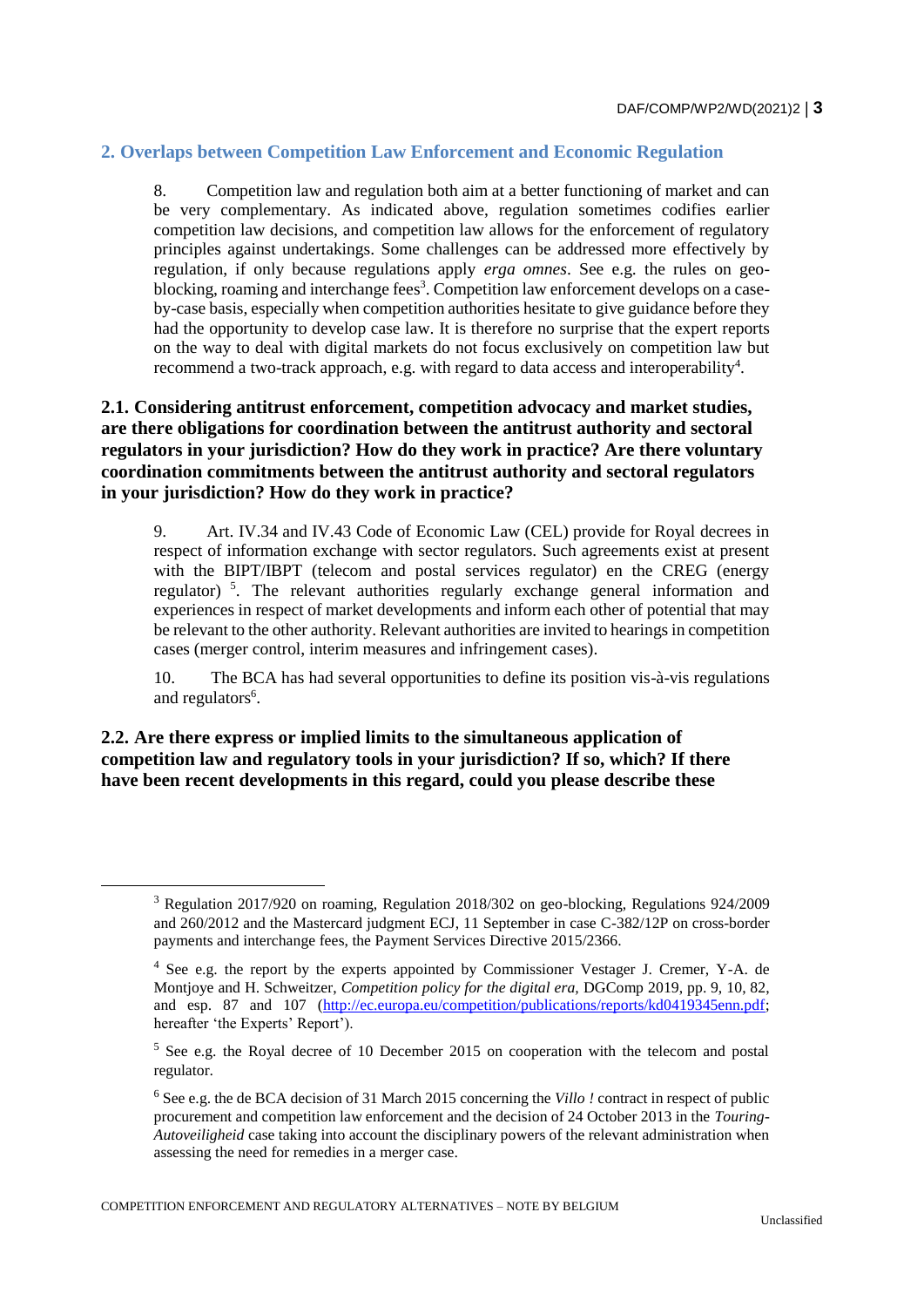## **2. Overlaps between Competition Law Enforcement and Economic Regulation**

8. Competition law and regulation both aim at a better functioning of market and can be very complementary. As indicated above, regulation sometimes codifies earlier competition law decisions, and competition law allows for the enforcement of regulatory principles against undertakings. Some challenges can be addressed more effectively by regulation, if only because regulations apply *erga omnes*. See e.g. the rules on geoblocking, roaming and interchange fees<sup>3</sup>. Competition law enforcement develops on a caseby-case basis, especially when competition authorities hesitate to give guidance before they had the opportunity to develop case law. It is therefore no surprise that the expert reports on the way to deal with digital markets do not focus exclusively on competition law but recommend a two-track approach, e.g. with regard to data access and interoperability<sup>4</sup>.

#### **2.1. Considering antitrust enforcement, competition advocacy and market studies, are there obligations for coordination between the antitrust authority and sectoral regulators in your jurisdiction? How do they work in practice? Are there voluntary coordination commitments between the antitrust authority and sectoral regulators in your jurisdiction? How do they work in practice?**

9. Art. IV.34 and IV.43 Code of Economic Law (CEL) provide for Royal decrees in respect of information exchange with sector regulators. Such agreements exist at present with the BIPT/IBPT (telecom and postal services regulator) en the CREG (energy regulator) <sup>5</sup> . The relevant authorities regularly exchange general information and experiences in respect of market developments and inform each other of potential that may be relevant to the other authority. Relevant authorities are invited to hearings in competition cases (merger control, interim measures and infringement cases).

10. The BCA has had several opportunities to define its position vis-à-vis regulations and regulators<sup>6</sup>.

**2.2. Are there express or implied limits to the simultaneous application of competition law and regulatory tools in your jurisdiction? If so, which? If there have been recent developments in this regard, could you please describe these** 

 $\overline{a}$ 

<sup>3</sup> Regulation 2017/920 on roaming, Regulation 2018/302 on geo-blocking, Regulations 924/2009 and 260/2012 and the Mastercard judgment ECJ, 11 September in case C-382/12P on cross-border payments and interchange fees, the Payment Services Directive 2015/2366.

<sup>4</sup> See e.g. the report by the experts appointed by Commissioner Vestager J. Cremer, Y-A. de Montjoye and H. Schweitzer, *Competition policy for the digital era,* DGComp 2019, pp. 9, 10, 82, and esp. 87 and 107 [\(http://ec.europa.eu/competition/publications/reports/kd0419345enn.pdf;](http://ec.europa.eu/competition/publications/reports/kd0419345enn.pdf) hereafter 'the Experts' Report').

<sup>5</sup> See e.g. the Royal decree of 10 December 2015 on cooperation with the telecom and postal regulator.

<sup>6</sup> See e.g. the de BCA decision of 31 March 2015 concerning the *Villo !* contract in respect of public procurement and competition law enforcement and the decision of 24 October 2013 in the *Touring-Autoveiligheid* case taking into account the disciplinary powers of the relevant administration when assessing the need for remedies in a merger case.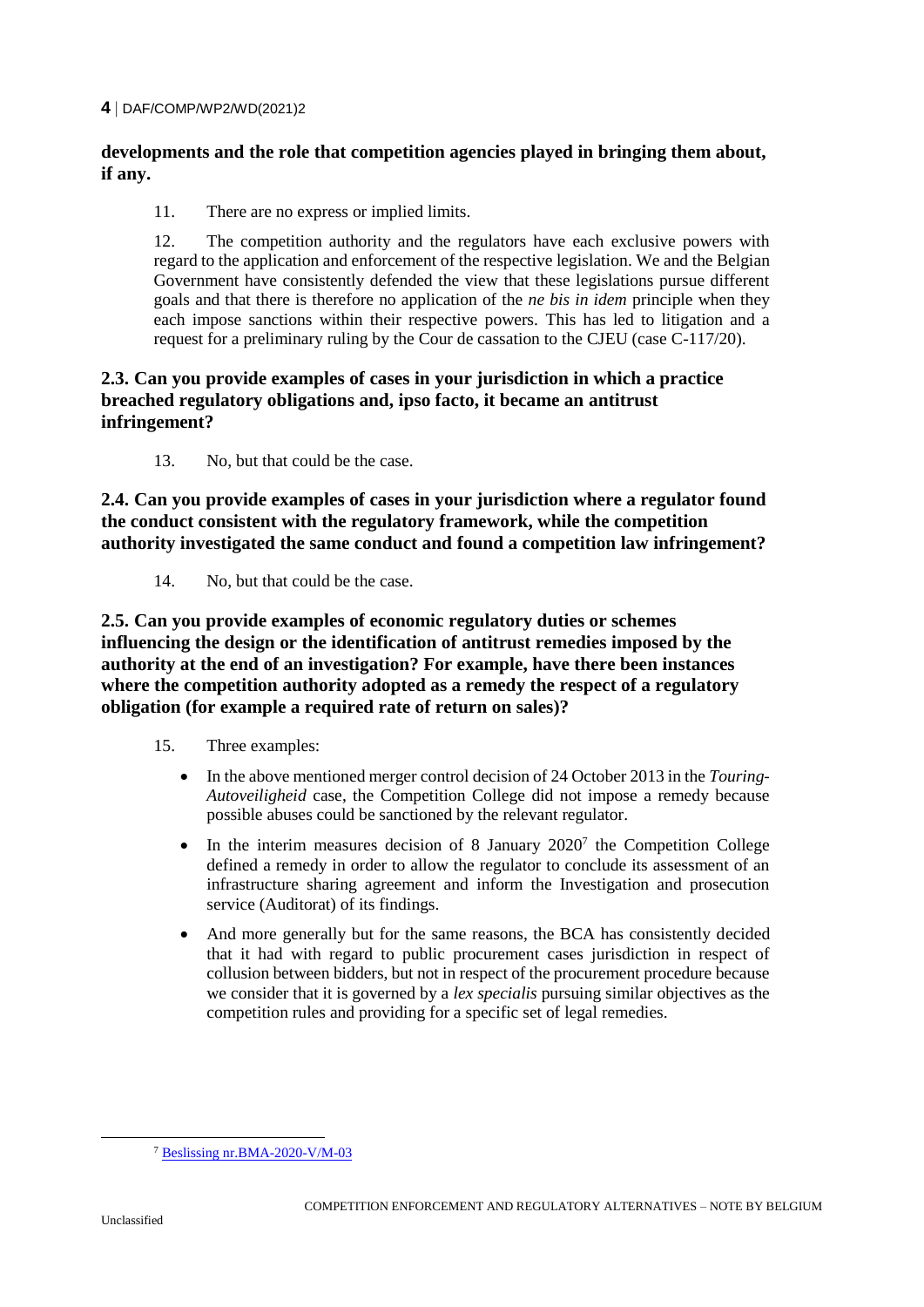#### **4** DAF/COMP/WP2/WD(2021)2

## **developments and the role that competition agencies played in bringing them about, if any.**

11. There are no express or implied limits.

12. The competition authority and the regulators have each exclusive powers with regard to the application and enforcement of the respective legislation. We and the Belgian Government have consistently defended the view that these legislations pursue different goals and that there is therefore no application of the *ne bis in idem* principle when they each impose sanctions within their respective powers. This has led to litigation and a request for a preliminary ruling by the Cour de cassation to the CJEU (case C-117/20).

#### **2.3. Can you provide examples of cases in your jurisdiction in which a practice breached regulatory obligations and, ipso facto, it became an antitrust infringement?**

13. No, but that could be the case.

**2.4. Can you provide examples of cases in your jurisdiction where a regulator found the conduct consistent with the regulatory framework, while the competition authority investigated the same conduct and found a competition law infringement?** 

14. No, but that could be the case.

**2.5. Can you provide examples of economic regulatory duties or schemes influencing the design or the identification of antitrust remedies imposed by the authority at the end of an investigation? For example, have there been instances where the competition authority adopted as a remedy the respect of a regulatory obligation (for example a required rate of return on sales)?** 

- 15. Three examples:
	- In the above mentioned merger control decision of 24 October 2013 in the *Touring-Autoveiligheid* case, the Competition College did not impose a remedy because possible abuses could be sanctioned by the relevant regulator.
	- In the interim measures decision of 8 January  $2020^7$  the Competition College defined a remedy in order to allow the regulator to conclude its assessment of an infrastructure sharing agreement and inform the Investigation and prosecution service (Auditorat) of its findings.
	- And more generally but for the same reasons, the BCA has consistently decided that it had with regard to public procurement cases jurisdiction in respect of collusion between bidders, but not in respect of the procurement procedure because we consider that it is governed by a *lex specialis* pursuing similar objectives as the competition rules and providing for a specific set of legal remedies.

<sup>7</sup> [Beslissing nr.BMA-2020-V/M-03](https://www.abc-bma.be/fr/decisions/20-vm-03-telenet-group-nv-en-telenet-bvba-proximus-nv-orange-belgium-nv)